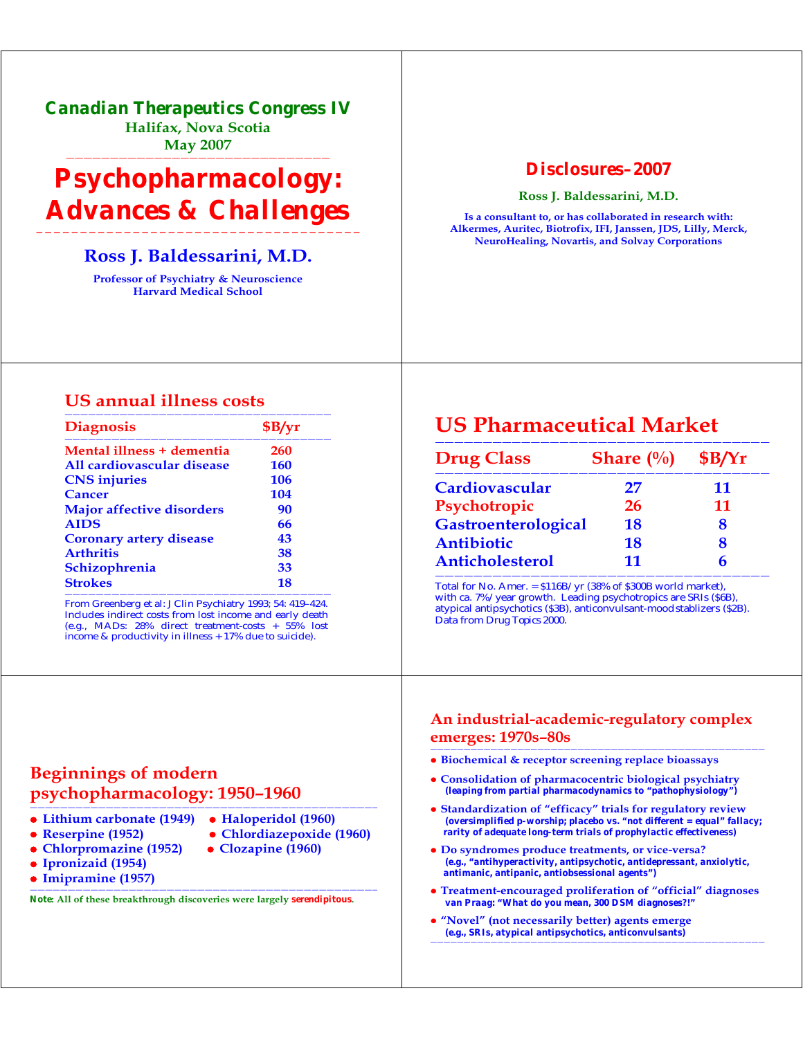*Canadian Therapeutics Congress IV*  **Halifax, Nova Scotia May 2007** 

——————————————————————————————

# *Psychopharmacology: Advances & Challenges*

#### **————————————————————————————————————— Ross J. Baldessarini, M.D.**

**Professor of Psychiatry & Neuroscience Harvard Medical School**

#### *Disclosures–2007*

**Ross J. Baldessarini, M.D.**

**Is a consultant to, or has collaborated in research with: Alkermes, Auritec, Biotrofix, IFI, Janssen, JDS, Lilly, Merck, NeuroHealing, Novartis, and Solvay Corporations** 

#### **US annual illness costs**

| <b>Diagnosis</b>                 | \$B/yr     |
|----------------------------------|------------|
| Mental illness + dementia        | 260        |
| All cardiovascular disease       | <b>160</b> |
| <b>CNS</b> injuries              | 106        |
| Cancer                           | 104        |
| <b>Major affective disorders</b> | 90         |
| <b>AIDS</b>                      | 66         |
| <b>Coronary artery disease</b>   | 43         |
| <b>Arthritis</b>                 | 38         |
| Schizophrenia                    | 33         |
| <b>Strokes</b>                   | 18         |

From Greenberg et al: J Clin Psychiatry 1993; 54: 419–424. Includes indirect costs from lost income and early death (e.g., MADs: 28% direct treatment-costs + 55% lost income & productivity in illness + 17% due to suicide).

## **US Pharmaceutical Market**

| <b>Drug Class</b>      | <b>Share</b> $\left(\frac{0}{0}\right)$ | \$B/Yr |
|------------------------|-----------------------------------------|--------|
| <b>Cardiovascular</b>  | 27                                      | 11     |
| Psychotropic           | 26                                      | 11     |
| Gastroenterological    | 18                                      | 8      |
| Antibiotic             | 18                                      | 8      |
| <b>Anticholesterol</b> | 11                                      |        |

Total for No. Amer. = \$116B/yr (38% of \$300B world market), with ca. 7%/year growth. Leading psychotropics are SRIs (\$6B), atypical antipsychotics (\$3B), anticonvulsant-moodstablizers (\$2B). Data from *Drug Topics* 2000.

#### **An industrial-academic-regulatory complex emerges: 1970s–80s** ——————————————————————————————————————————————————

- $\bullet$  **Biochemical & receptor screening replace bioassays**
- **Consolidation of pharmacocentric biological psychiatry** *(leaping from partial pharmacodynamics to "pathophysiology")*
- **Standardization of "efficacy" trials for regulatory review** *(oversimplified p-worship; placebo vs. "not different = equal" fallacy; rarity of adequate long-term trials of prophylactic effectiveness)*
- z **Do syndromes produce treatments, or vice-versa?** *(e.g., "antihyperactivity, antipsychotic, antidepressant, anxiolytic, antimanic, antipanic, antiobsessional agents")*
- z **Treatment-encouraged proliferation of "official" diagnoses** *van Praag: "What do you mean, 300 DSM diagnoses?!"*
- z **"Novel" (not necessarily better) agents emerge** *(e.g., SRIs, atypical antipsychotics, anticonvulsants)* ——————————————————————————————————————————————————

## **Beginnings of modern psychopharmacology: 1950–1960**

## **• Lithium carbonate (1949) • Haloperidol (1960)**

- 
- Reserpine (1952) Chlordiazepoxide (1960)
- Chlorpromazine (1952) Clozapine (1960)
- -
- 

z **Ipronizaid (1954)** 

z **Imipramine (1957)** ——————————————————————————————————————————————

*Note***: All of these breakthrough discoveries were largely** *serendipitous***.**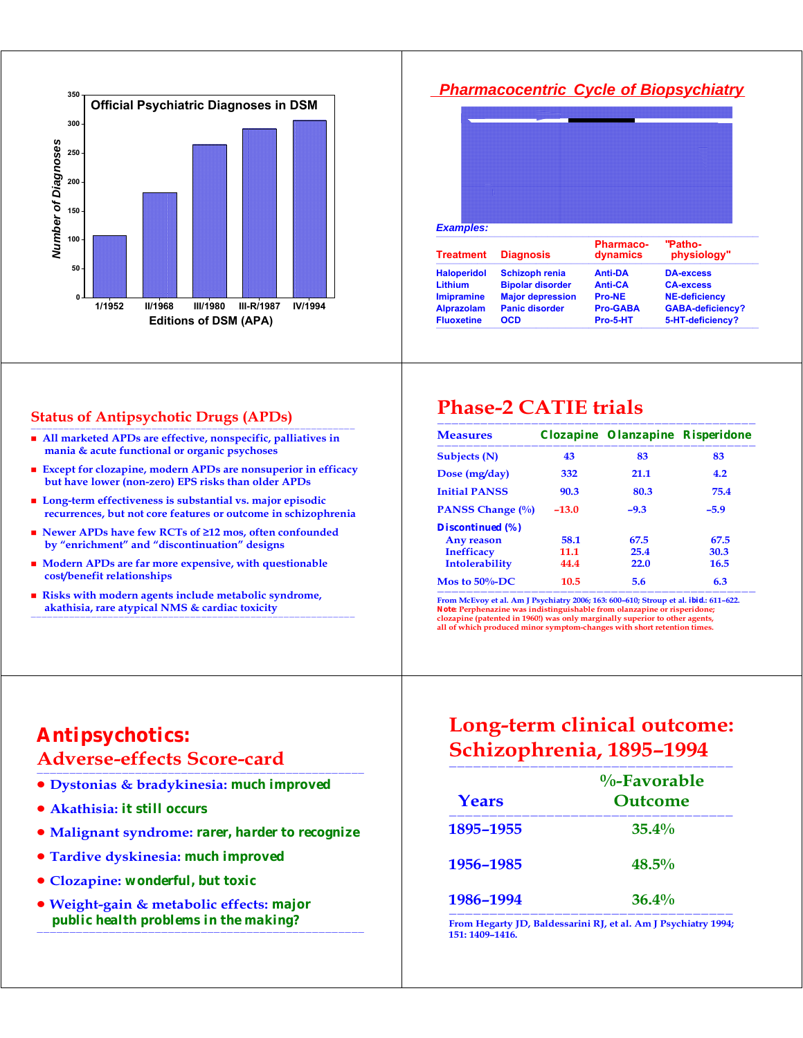

#### **Status of Antipsychotic Drugs (APDs)**

- All marketed APDs are effective, nonspecific, palliatives in  **mania & acute functional or organic psychoses**
- **Except for clozapine, modern APDs are nonsuperior in efficacy but have lower (non-zero) EPS risks than older APDs**
- **Long-term effectiveness is substantial vs. major episodic recurrences, but not core features or outcome in schizophrenia**
- **Newer APDs have few RCTs of ≥12 mos, often confounded by "enrichment" and "discontinuation" designs**
- **Modern APDs are far more expensive, with questionable cost/benefit relationships**
- **Risks with modern agents include metabolic syndrome, akathisia, rare atypical NMS & cardiac toxicity**

———————————————————————————————————————————————————————————

## *Pharmacocentric Cycle of Biopsychiatry Examples:* ——————————————————————————————————————————————————————— **Pharmaco- "Patho-Treatment Diagnosis dynamics physiology"** ——————————————————————————————————————————————————————— **Haloperidol Schizoph renia Anti-DA DA-excess Lithium Bipolar disorder Anti-CA CA-excess Imipramine Major depression Pro-NE NE-deficiency Alprazolam Panic disorder Pro-GABA GABA-deficiency?**

Fluoxetine OCD Pro-5-HT 5-HT-deficiency? ———————————————————————————————————————————————————————

# **Phase-2 CATIE trials**

| <b>Measures</b>         |         | Clozapine Olanzapine Risperidone |        |
|-------------------------|---------|----------------------------------|--------|
| <b>Subjects (N)</b>     | 43      | 83                               | 83     |
| Dose (mg/day)           | 332     | 21.1                             | 4.2    |
| <b>Initial PANSS</b>    | 90.3    | 80.3                             | 75.4   |
| PANSS Change (%)        | $-13.0$ | $-9.3$                           | $-5.9$ |
| <b>Discontinued</b> (%) |         |                                  |        |
| <b>Any reason</b>       | 58.1    | 67.5                             | 67.5   |
| <b>Inefficacy</b>       | 11.1    | 25.4                             | 30.3   |
| Intolerability          | 44.4    | 22.0                             | 16.5   |
| Mos to $50\%$ -DC       | 10.5    | 5.6                              | 6.3    |

———————————————————————————————————————————— **From McEvoy et al. Am J Psychiatry 2006; 163: 600–610; Stroup et al.** *ibid***.: 611–622.**  *Note***: Perphenazine was indistinguishable from olanzapine or risperidone; clozapine (patented in 1960!) was only marginally superior to other agents, all of which produced minor symptom-changes with short retention times.** 

## *Antipsychotics:*  **Adverse-effects Score-card**

- z **Dystonias & bradykinesia:** *much improved*
- z **Akathisia:** *it still occurs*
- **Malignant syndrome:** *rarer, harder to recognize*

——————————————————————————————————————————————————

——————————————————————————————————————————————————

- z **Tardive dyskinesia:** *much improved*
- z **Clozapine:** *wonderful, but toxic*
- z **Weight-gain & metabolic effects:** *major public health problems in the making?*

## **Long-term clinical outcome: Schizophrenia, 1895–1994**

| Years     | $\%$ -Favorable<br>Outcome |
|-----------|----------------------------|
| 1895-1955 | $35.4\%$                   |
| 1956-1985 | $48.5\%$                   |
| 1986-1994 | $36.4\%$                   |

——————————————————————————————————— **From Hegarty JD, Baldessarini RJ, et al. Am J Psychiatry 1994; 151: 1409–1416.**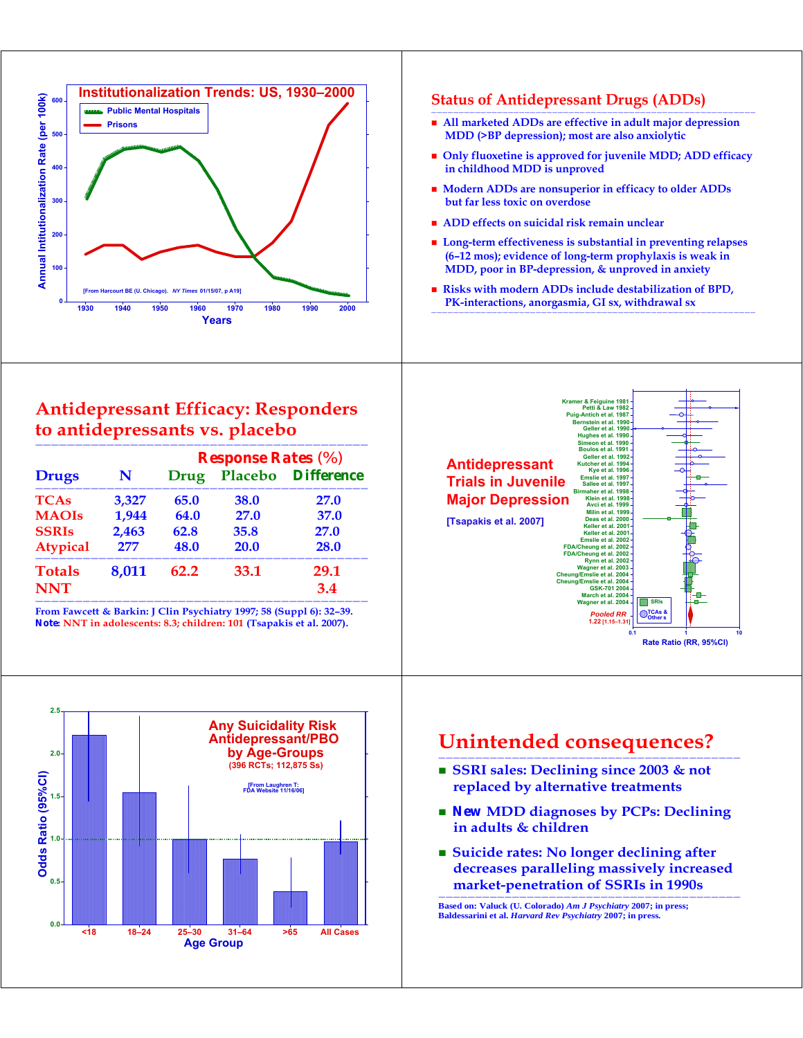

### **Antidepressant Efficacy: Responders to antidepressants vs. placebo**

|                 |       | <b>Response Rates</b> (%) |      |                    |
|-----------------|-------|---------------------------|------|--------------------|
| <b>Drugs</b>    | N     | Drug                      |      | Placebo Difference |
| <b>TCAs</b>     | 3,327 | 65.0                      | 38.0 | <b>27.0</b>        |
| <b>MAOIs</b>    | 1,944 | 64.0                      | 27.0 | 37.0               |
| <b>SSRIs</b>    | 2,463 | 62.8                      | 35.8 | 27.0               |
| <b>Atypical</b> | 277   | 48.0                      | 20.0 | 28.0               |
| <b>Totals</b>   | 8,011 | 62.2                      | 33.1 | 29.1               |
| <b>NNT</b>      |       |                           |      | 3.4                |

**From Fawcett & Barkin: J Clin Psychiatry 1997; 58 (Suppl 6): 32–39.**  *Note***: NNT in adolescents: 8.3; children: 101 (Tsapakis et al. 2007).** 



- All marketed ADDs are effective in adult major depression  **MDD (>BP depression); most are also anxiolytic**
- $\blacksquare$  Only fluoxetine is approved for juvenile MDD; ADD efficacy  **in childhood MDD is unproved**
- **Modern ADDs are nonsuperior in efficacy to older ADDs but far less toxic on overdose**
- **ADD** effects on suicidal risk remain unclear
- **Long-term effectiveness is substantial in preventing relapses (6–12 mos); evidence of long-term prophylaxis is weak in MDD, poor in BP-depression, & unproved in anxiety**
- **Risks with modern ADDs include destabilization of BPD, PK-interactions, anorgasmia, GI sx, withdrawal sx**

———————————————————————————————————————————————————————————



### **Unintended consequences?**

—————————————————————————————————————————

- **SSRI sales: Declining since 2003 & not replaced by alternative treatments**
- *New* **MDD diagnoses by PCPs: Declining in adults & children**
- Suicide rates: No longer declining after  **decreases paralleling massively increased market-penetration of SSRIs in 1990s**

————————————————————————————————————————— **Based on: Valuck (U. Colorado)** *Am J Psychiatry* **2007; in press; Baldessarini et al.** *Harvard Rev Psychiatry* **2007; in press.**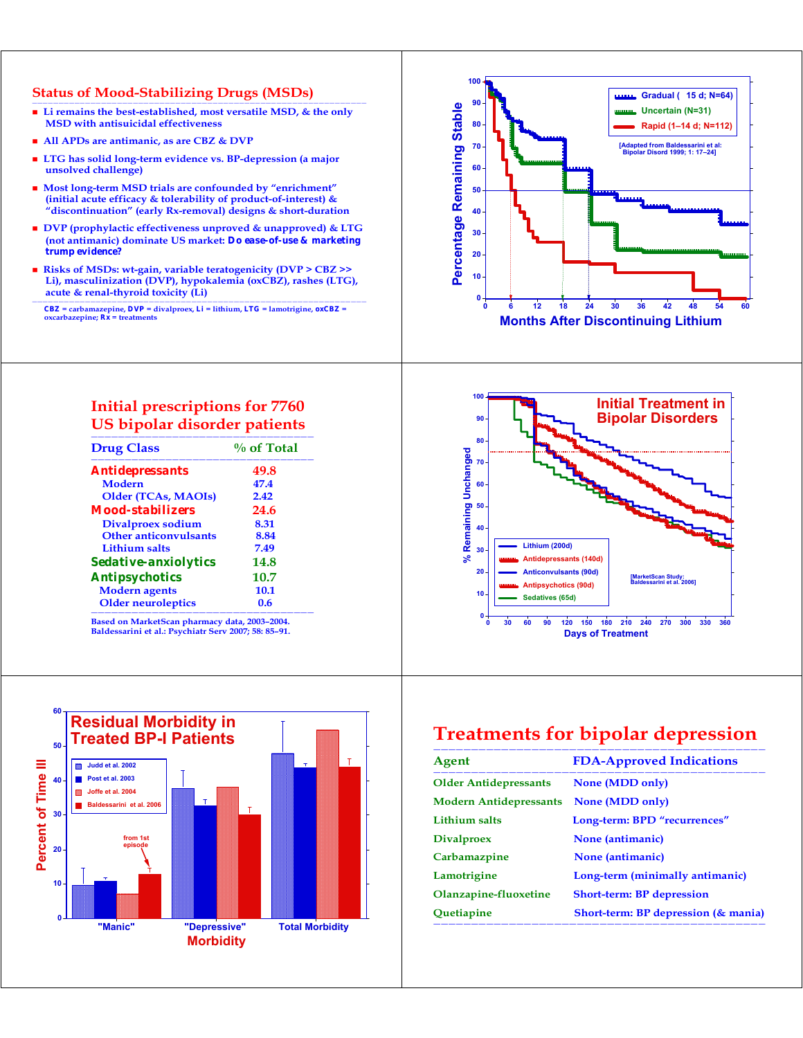#### **Status of Mood-Stabilizing Drugs (MSDs)**

- Li remains the best-established, most versatile MSD, & the only  **MSD with antisuicidal effectiveness**
- **All APDs are antimanic, as are CBZ & DVP**
- **LTG has solid long-term evidence vs. BP-depression (a major unsolved challenge)**
- **Most long-term MSD trials are confounded by "enrichment" (initial acute efficacy & tolerability of product-of-interest) & "discontinuation" (early Rx-removal) designs & short-duration**
- DVP (prophylactic effectiveness unproved & unapproved) & LTG  **(not antimanic) dominate US market:** *Do ease-of-use & marketing trump evidence?*
- **Risks of MSDs: wt-gain, variable teratogenicity (DVP > CBZ >> Li), masculinization (DVP), hypokalemia (oxCBZ), rashes (LTG), acute & renal-thyroid toxicity (Li)**

 $CBZ$  = carbamazepine,  $DVP$  = divalproex,  $Li$  = lithium,  $LTC$  = lamotrigine,  $oxCBZ$  = oxcarbazepine;  $Rx$  = treatments

#### **Initial prescriptions for 7760 US bipolar disorder patients**

| <b>Drug Class</b>             | $\%$ of Total |  |
|-------------------------------|---------------|--|
| <i><b>Antidepressants</b></i> | 49.8          |  |
| <b>Modern</b>                 | 47.4          |  |
| <b>Older (TCAs, MAOIs)</b>    | 2.42          |  |
| Mood-stabilizers              | 24.6          |  |
| Divalproex sodium             | 8.31          |  |
| <b>Other anticonvulsants</b>  | 8.84          |  |
| Lithium salts                 | 7.49          |  |
| <i>Sedative-anxiolytics</i>   | 14.8          |  |
| <b>Antipsychotics</b>         | 10.7          |  |
| <b>Modern</b> agents          | 10.1          |  |
| <b>Older neuroleptics</b>     | 0.6           |  |

**Based on MarketScan pharmacy data, 2003–2004. Baldessarini et al.: Psychiatr Serv 2007; 58: 85–91.** 







## **Treatments for bipolar depression**

| <b>FDA-Approved Indications</b>        |
|----------------------------------------|
| <b>None (MDD only)</b>                 |
| None (MDD only)                        |
| Long-term: BPD "recurrences"           |
| None (antimanic)                       |
| None (antimanic)                       |
| Long-term (minimally antimanic)        |
| <b>Short-term: BP depression</b>       |
| Short-term: BP depression $(\&$ mania) |
|                                        |